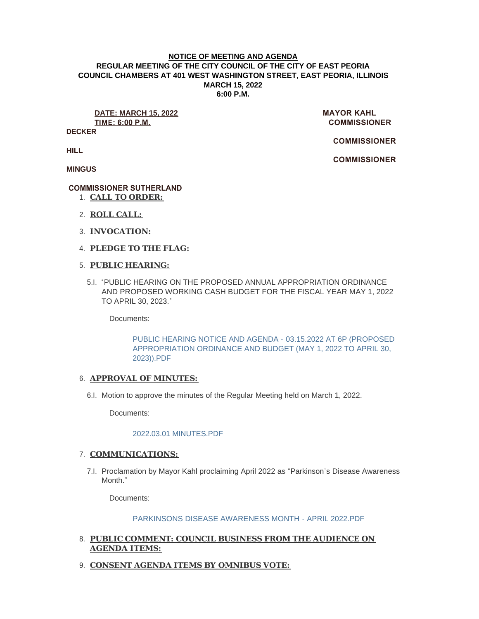### **NOTICE OF MEETING AND AGENDA REGULAR MEETING OF THE CITY COUNCIL OF THE CITY OF EAST PEORIA COUNCIL CHAMBERS AT 401 WEST WASHINGTON STREET, EAST PEORIA, ILLINOIS MARCH 15, 2022 6:00 P.M.**

**DATE: MARCH 15, 2022 MAYOR KAHL TIME: 6:00 P.M. COMMISSIONER** 

**DECKER**

 **COMMISSIONER** 

 **COMMISSIONER** 

**HILL**

**MINGUS**

# **COMMISSIONER SUTHERLAND**

- **CALL TO ORDER:** 1.
- **ROLL CALL:** 2.
- **INVOCATION:** 3.
- **PLEDGE TO THE FLAG:** 4.
- **PUBLIC HEARING:** 5.
	- 5.I. "PUBLIC HEARING ON THE PROPOSED ANNUAL APPROPRIATION ORDINANCE AND PROPOSED WORKING CASH BUDGET FOR THE FISCAL YEAR MAY 1, 2022 TO APRIL 30, 2023."

Documents:

PUBLIC HEARING NOTICE AND AGENDA - 03.15.2022 AT 6P (PROPOSED [APPROPRIATION ORDINANCE AND BUDGET \(MAY 1, 2022 TO APRIL 30,](https://www.cityofeastpeoria.com/AgendaCenter/ViewFile/Item/4225?fileID=29600)  2023)).PDF

## **APPROVAL OF MINUTES:** 6.

6.I. Motion to approve the minutes of the Regular Meeting held on March 1, 2022.

Documents:

## [2022.03.01 MINUTES.PDF](https://www.cityofeastpeoria.com/AgendaCenter/ViewFile/Item/4217?fileID=29592)

## **COMMUNICATIONS:** 7.

7.I. Proclamation by Mayor Kahl proclaiming April 2022 as "Parkinson's Disease Awareness Month."

Documents:

## [PARKINSONS DISEASE AWARENESS MONTH -](https://www.cityofeastpeoria.com/AgendaCenter/ViewFile/Item/4203?fileID=29578) APRIL 2022.PDF

# **PUBLIC COMMENT: COUNCIL BUSINESS FROM THE AUDIENCE ON**  8. **AGENDA ITEMS:**

**CONSENT AGENDA ITEMS BY OMNIBUS VOTE:**  9.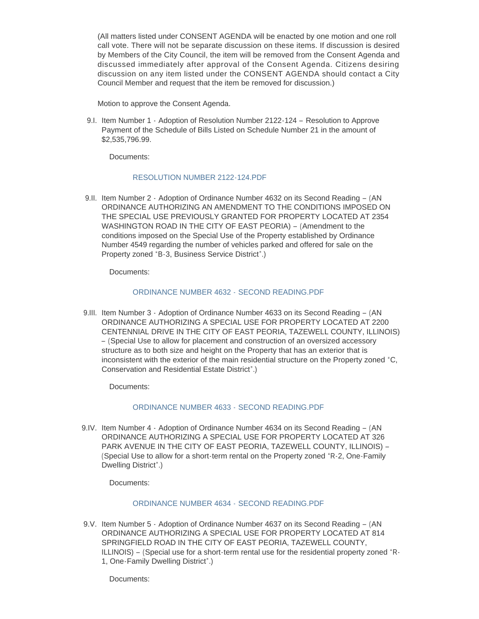(All matters listed under CONSENT AGENDA will be enacted by one motion and one roll call vote. There will not be separate discussion on these items. If discussion is desired by Members of the City Council, the item will be removed from the Consent Agenda and discussed immediately after approval of the Consent Agenda. Citizens desiring discussion on any item listed under the CONSENT AGENDA should contact a City Council Member and request that the item be removed for discussion.)

Motion to approve the Consent Agenda.

9.I. Item Number 1 - Adoption of Resolution Number 2122-124 - Resolution to Approve Payment of the Schedule of Bills Listed on Schedule Number 21 in the amount of \$2,535,796.99.

Documents:

### [RESOLUTION NUMBER 2122-124.PDF](https://www.cityofeastpeoria.com/AgendaCenter/ViewFile/Item/4218?fileID=29601)

9.II. Item Number 2 - Adoption of Ordinance Number 4632 on its Second Reading - (AN ORDINANCE AUTHORIZING AN AMENDMENT TO THE CONDITIONS IMPOSED ON THE SPECIAL USE PREVIOUSLY GRANTED FOR PROPERTY LOCATED AT 2354 WASHINGTON ROAD IN THE CITY OF EAST PEORIA) – (Amendment to the conditions imposed on the Special Use of the Property established by Ordinance Number 4549 regarding the number of vehicles parked and offered for sale on the Property zoned "B-3, Business Service District".)

Documents:

# [ORDINANCE NUMBER 4632 -](https://www.cityofeastpeoria.com/AgendaCenter/ViewFile/Item/4204?fileID=29579) SECOND READING.PDF

9.III. Item Number 3 - Adoption of Ordinance Number 4633 on its Second Reading - (AN ORDINANCE AUTHORIZING A SPECIAL USE FOR PROPERTY LOCATED AT 2200 CENTENNIAL DRIVE IN THE CITY OF EAST PEORIA, TAZEWELL COUNTY, ILLINOIS) – (Special Use to allow for placement and construction of an oversized accessory structure as to both size and height on the Property that has an exterior that is inconsistent with the exterior of the main residential structure on the Property zoned "C, Conservation and Residential Estate District".)

Documents:

## [ORDINANCE NUMBER 4633 -](https://www.cityofeastpeoria.com/AgendaCenter/ViewFile/Item/4205?fileID=29580) SECOND READING.PDF

9.IV. Item Number 4 - Adoption of Ordinance Number 4634 on its Second Reading - (AN ORDINANCE AUTHORIZING A SPECIAL USE FOR PROPERTY LOCATED AT 326 PARK AVENUE IN THE CITY OF EAST PEORIA, TAZEWELL COUNTY, ILLINOIS) – (Special Use to allow for a short-term rental on the Property zoned "R-2, One-Family Dwelling District".)

Documents:

## [ORDINANCE NUMBER 4634 -](https://www.cityofeastpeoria.com/AgendaCenter/ViewFile/Item/4206?fileID=29581) SECOND READING.PDF

9.V. Item Number 5 - Adoption of Ordinance Number 4637 on its Second Reading - (AN ORDINANCE AUTHORIZING A SPECIAL USE FOR PROPERTY LOCATED AT 814 SPRINGFIELD ROAD IN THE CITY OF EAST PEORIA, TAZEWELL COUNTY, ILLINOIS) – (Special use for a short-term rental use for the residential property zoned "R-1, One-Family Dwelling District".)

Documents: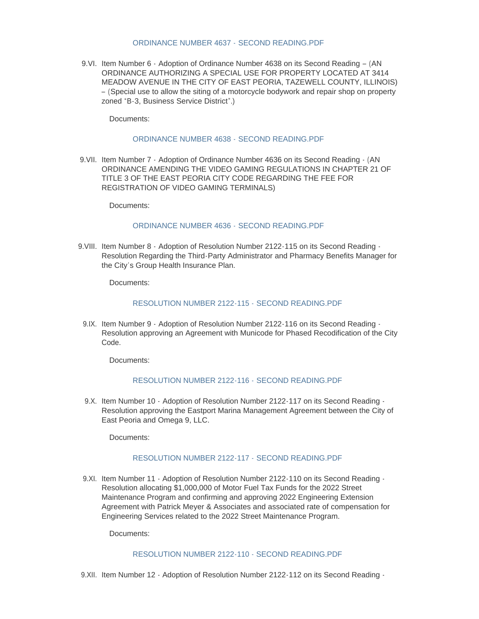## [ORDINANCE NUMBER 4637 -](https://www.cityofeastpeoria.com/AgendaCenter/ViewFile/Item/4207?fileID=29582) SECOND READING.PDF

9.VI. Item Number 6 - Adoption of Ordinance Number 4638 on its Second Reading - (AN ORDINANCE AUTHORIZING A SPECIAL USE FOR PROPERTY LOCATED AT 3414 MEADOW AVENUE IN THE CITY OF EAST PEORIA, TAZEWELL COUNTY, ILLINOIS) – (Special use to allow the siting of a motorcycle bodywork and repair shop on property zoned "B-3, Business Service District".)

Documents:

### [ORDINANCE NUMBER 4638 -](https://www.cityofeastpeoria.com/AgendaCenter/ViewFile/Item/4208?fileID=29583) SECOND READING.PDF

9. VII. Item Number 7 - Adoption of Ordinance Number 4636 on its Second Reading - (AN ORDINANCE AMENDING THE VIDEO GAMING REGULATIONS IN CHAPTER 21 OF TITLE 3 OF THE EAST PEORIA CITY CODE REGARDING THE FEE FOR REGISTRATION OF VIDEO GAMING TERMINALS)

Documents:

## [ORDINANCE NUMBER 4636 -](https://www.cityofeastpeoria.com/AgendaCenter/ViewFile/Item/4209?fileID=29584) SECOND READING.PDF

9. VIII. Item Number 8 - Adoption of Resolution Number 2122-115 on its Second Reading -Resolution Regarding the Third-Party Administrator and Pharmacy Benefits Manager for the City's Group Health Insurance Plan.

Documents:

### [RESOLUTION NUMBER 2122-115 -](https://www.cityofeastpeoria.com/AgendaCenter/ViewFile/Item/4210?fileID=29585) SECOND READING.PDF

9.IX. Item Number 9 - Adoption of Resolution Number 2122-116 on its Second Reading -Resolution approving an Agreement with Municode for Phased Recodification of the City Code.

Documents:

## [RESOLUTION NUMBER 2122-116 -](https://www.cityofeastpeoria.com/AgendaCenter/ViewFile/Item/4211?fileID=29586) SECOND READING.PDF

9.X. Item Number 10 - Adoption of Resolution Number 2122-117 on its Second Reading -Resolution approving the Eastport Marina Management Agreement between the City of East Peoria and Omega 9, LLC.

Documents:

## [RESOLUTION NUMBER 2122-117 -](https://www.cityofeastpeoria.com/AgendaCenter/ViewFile/Item/4212?fileID=29602) SECOND READING.PDF

9.XI. Item Number 11 - Adoption of Resolution Number 2122-110 on its Second Reading -Resolution allocating \$1,000,000 of Motor Fuel Tax Funds for the 2022 Street Maintenance Program and confirming and approving 2022 Engineering Extension Agreement with Patrick Meyer & Associates and associated rate of compensation for Engineering Services related to the 2022 Street Maintenance Program.

Documents:

## [RESOLUTION NUMBER 2122-110 - SECOND READING.PDF](https://www.cityofeastpeoria.com/AgendaCenter/ViewFile/Item/4213?fileID=29588)

9.XII. Item Number 12 - Adoption of Resolution Number 2122-112 on its Second Reading -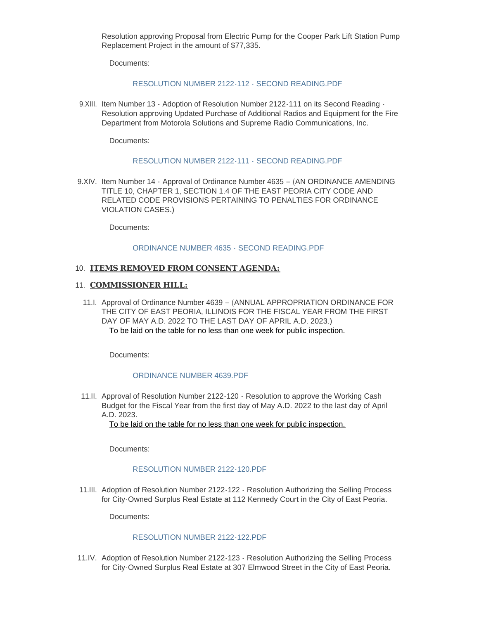Resolution approving Proposal from Electric Pump for the Cooper Park Lift Station Pump Replacement Project in the amount of \$77,335.

Documents:

### [RESOLUTION NUMBER 2122-112 - SECOND READING.PDF](https://www.cityofeastpeoria.com/AgendaCenter/ViewFile/Item/4214?fileID=29589)

9.XIII. Item Number 13 - Adoption of Resolution Number 2122-111 on its Second Reading -Resolution approving Updated Purchase of Additional Radios and Equipment for the Fire Department from Motorola Solutions and Supreme Radio Communications, Inc.

Documents:

### [RESOLUTION NUMBER 2122-111 -](https://www.cityofeastpeoria.com/AgendaCenter/ViewFile/Item/4215?fileID=29590) SECOND READING.PDF

9.XIV. Item Number 14 - Approval of Ordinance Number 4635 - (AN ORDINANCE AMENDING TITLE 10, CHAPTER 1, SECTION 1.4 OF THE EAST PEORIA CITY CODE AND RELATED CODE PROVISIONS PERTAINING TO PENALTIES FOR ORDINANCE VIOLATION CASES.)

Documents:

### [ORDINANCE NUMBER 4635 -](https://www.cityofeastpeoria.com/AgendaCenter/ViewFile/Item/4216?fileID=29591) SECOND READING.PDF

## 10. ITEMS REMOVED FROM CONSENT AGENDA:

#### 11. **COMMISSIONER HILL:**

11.I. Approval of Ordinance Number 4639 - (ANNUAL APPROPRIATION ORDINANCE FOR THE CITY OF EAST PEORIA, ILLINOIS FOR THE FISCAL YEAR FROM THE FIRST DAY OF MAY A.D. 2022 TO THE LAST DAY OF APRIL A.D. 2023.) To be laid on the table for no less than one week for public inspection.

Documents:

## [ORDINANCE NUMBER 4639.PDF](https://www.cityofeastpeoria.com/AgendaCenter/ViewFile/Item/4219?fileID=29594)

11.II. Approval of Resolution Number 2122-120 - Resolution to approve the Working Cash Budget for the Fiscal Year from the first day of May A.D. 2022 to the last day of April A.D. 2023.

To be laid on the table for no less than one week for public inspection.

Documents:

## [RESOLUTION NUMBER 2122-120.PDF](https://www.cityofeastpeoria.com/AgendaCenter/ViewFile/Item/4220?fileID=29595)

11.III. Adoption of Resolution Number 2122-122 - Resolution Authorizing the Selling Process for City-Owned Surplus Real Estate at 112 Kennedy Court in the City of East Peoria.

Documents:

## [RESOLUTION NUMBER 2122-122.PDF](https://www.cityofeastpeoria.com/AgendaCenter/ViewFile/Item/4221?fileID=29596)

11.IV. Adoption of Resolution Number 2122-123 - Resolution Authorizing the Selling Process for City-Owned Surplus Real Estate at 307 Elmwood Street in the City of East Peoria.